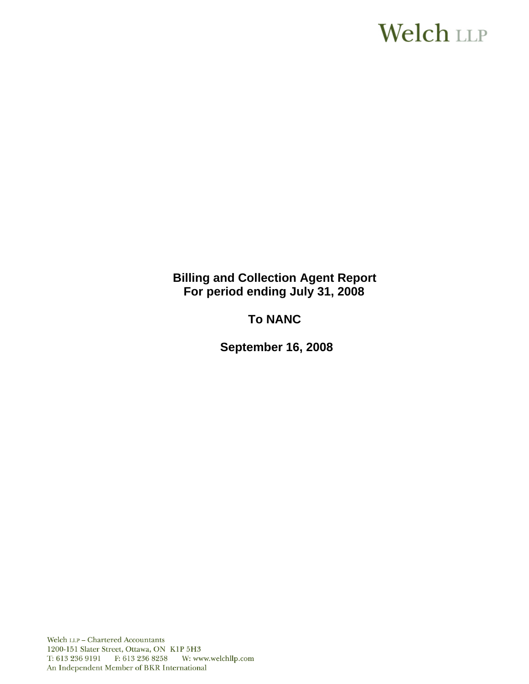# **Welch LLP**

**Billing and Collection Agent Report For period ending July 31, 2008**

**To NANC** 

**September 16, 2008**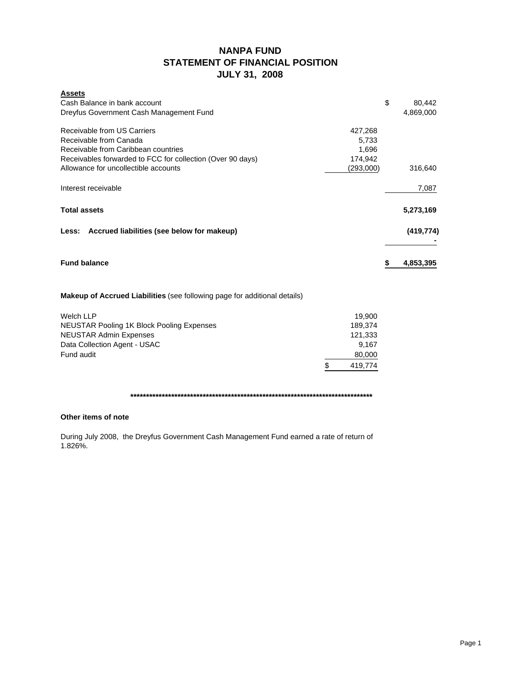## **NANPA FUND STATEMENT OF FINANCIAL POSITION JULY 31, 2008**

| <b>Assets</b><br>Cash Balance in bank account<br>Dreyfus Government Cash Management Fund                                                                   |                                      |                    | \$ | 80,442<br>4.869.000 |
|------------------------------------------------------------------------------------------------------------------------------------------------------------|--------------------------------------|--------------------|----|---------------------|
| Receivable from US Carriers<br>Receivable from Canada<br>Receivable from Caribbean countries<br>Receivables forwarded to FCC for collection (Over 90 days) | 427,268<br>5,733<br>1,696<br>174,942 |                    |    |                     |
| Allowance for uncollectible accounts                                                                                                                       |                                      | (293,000)          |    | 316,640             |
| Interest receivable                                                                                                                                        |                                      |                    |    | 7,087               |
| <b>Total assets</b>                                                                                                                                        |                                      |                    |    | 5,273,169           |
| Less: Accrued liabilities (see below for makeup)                                                                                                           |                                      |                    |    | (419, 774)          |
| <b>Fund balance</b>                                                                                                                                        |                                      |                    | S  | 4,853,395           |
| <b>Makeup of Accrued Liabilities</b> (see following page for additional details)                                                                           |                                      |                    |    |                     |
| <b>Welch LLP</b>                                                                                                                                           |                                      | 19,900             |    |                     |
| <b>NEUSTAR Pooling 1K Block Pooling Expenses</b><br><b>NEUSTAR Admin Expenses</b>                                                                          |                                      | 189,374<br>121,333 |    |                     |
| Data Collection Agent - USAC                                                                                                                               |                                      | 9,167              |    |                     |
| Fund audit                                                                                                                                                 |                                      | 80,000             |    |                     |
|                                                                                                                                                            | \$                                   | 419,774            |    |                     |

**\*\*\*\*\*\*\*\*\*\*\*\*\*\*\*\*\*\*\*\*\*\*\*\*\*\*\*\*\*\*\*\*\*\*\*\*\*\*\*\*\*\*\*\*\*\*\*\*\*\*\*\*\*\*\*\*\*\*\*\*\*\*\*\*\*\*\*\*\*\*\*\*\*\*\*\*\***

### **Other items of note**

During July 2008, the Dreyfus Government Cash Management Fund earned a rate of return of 1.826%.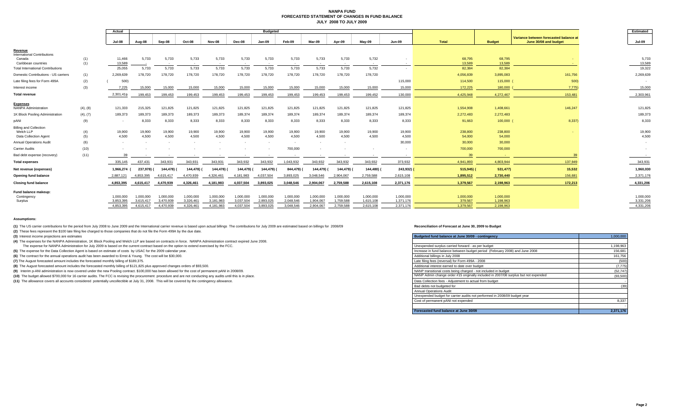#### **NANPA FUND FORECASTED STATEMENT OF CHANGES IN FUND BALANCEJULY 2008 TO JULY 2009**

|                                                                 |            | Actual                   | <b>Budgeted</b> |                     |                 |                     |                 |                 |                 |                          |                 |                     |                 |                   |                                                                 |                |
|-----------------------------------------------------------------|------------|--------------------------|-----------------|---------------------|-----------------|---------------------|-----------------|-----------------|-----------------|--------------------------|-----------------|---------------------|-----------------|-------------------|-----------------------------------------------------------------|----------------|
|                                                                 | Jul-08     | Aug-08                   | Sep-08          | Oct-08              | Nov-08          | Dec-08              | Jan-09          | Feb-09          | Mar-09          | Apr-09                   | $May-09$        | <b>Jun-09</b>       | <b>Total</b>    | <b>Budget</b>     | Variance between forecasted balance at<br>June 30/08 and budget |                |
| Revenue                                                         |            |                          |                 |                     |                 |                     |                 |                 |                 |                          |                 |                     |                 |                   |                                                                 |                |
| <b>International Contributions</b><br>Canada                    | (1)        | 11,466                   | 5,733           | 5,733               | 5,733           | 5,733               | 5,733           | 5,733           | 5,733           | 5,733                    | 5,733           | 5,732               |                 | 68,795            | 68,795                                                          |                |
| Caribbean countries<br><b>Total International Contributions</b> | (1)        | 13.589<br>25,055         | 5,733           | $\sim$ $-$<br>5,733 | $\sim$<br>5,733 | $\sim$ $-$<br>5,733 | $\sim$<br>5,733 | $\sim$<br>5,733 | $\sim$<br>5,733 | $\sim$<br>5,733          | $\sim$<br>5,733 | $\sim$ $-$<br>5,732 | $\sim$          | 13,589<br>82,384  | 13,589<br>82,384                                                |                |
| Domestic Contributions - US carriers                            |            | 2,269,639                | 178,720         | 178,720             | 178,720         | 178,720             | 178,720         | 178,720         | 178,720         | 178,720                  | 178,720         | 178,720             |                 | 4,056,839         | 3,895,083                                                       | 161,756        |
|                                                                 | (1)        |                          |                 |                     |                 |                     |                 |                 |                 |                          |                 |                     |                 |                   |                                                                 |                |
| Late filing fees for Form 499A                                  | (2)        | 500)                     |                 |                     |                 |                     |                 |                 |                 |                          |                 |                     | 115,000         | 114,500           | 115,000                                                         | 500)           |
| Interest income                                                 | (3)        | 7,225                    | 15,000          | 15,000              | 15,000          | 15,000              | 15,000          | 15,000          | 15,000          | 15,000                   | 15,000          | 15,000              | 15,000          | 172,225           | 180,000                                                         | 7,775)         |
| <b>Total revenue</b>                                            |            | 2,301,419                | 199.453         | 199.453             | 199.453         | 199.453             | 199.453         | 199.453         | 199.453         | 199.453                  | 199.453         | 199,452             | 130,000         | 4.425.948         | 4,272,467                                                       | 153,481        |
| <b>Expenses</b>                                                 |            |                          |                 |                     |                 |                     |                 |                 |                 |                          |                 |                     |                 |                   |                                                                 |                |
| <b>NANPA Administration</b>                                     | (4), (8)   | 121,333                  | 215,325         | 121,825             | 121,825         | 121,825             | 121,825         | 121,825         | 121,825         | 121,825                  | 121,825         | 121,825             | 121,825         | 1,554,908         | 1,408,661                                                       | 146,247        |
| 1K Block Pooling Administration                                 | (4), (7)   | 189,373                  | 189,373         | 189,373             | 189,373         | 189,373             | 189,374         | 189,374         | 189,374         | 189,374                  | 189,374         | 189.374             | 189,374         | 2,272,483         | 2,272,483                                                       |                |
| pANI                                                            | (9)        | $\overline{\phantom{a}}$ | 8,333           | 8,333               | 8,333           | 8,333               | 8,333           | 8,333           | 8,333           | 8,333                    | 8,333           | 8,333               | 8,333           | 91,663            | $100,000$ (                                                     | 8,337)         |
| <b>Billing and Collection</b>                                   |            |                          |                 |                     |                 |                     |                 |                 |                 |                          |                 |                     |                 |                   |                                                                 |                |
| Welch LLP<br>Data Collection Agent                              | (4)<br>(5) | 19,900<br>4,500          | 19,900<br>4,500 | 19,900<br>4,500     | 19,900<br>4,500 | 19,900<br>4,500     | 19,900<br>4,500 | 19,900<br>4.500 | 19,900<br>4.500 | 19,900<br>4,500          | 19,900<br>4,500 | 19,900<br>4.500     | 19,900<br>4,500 | 238,800<br>54,000 | 238,800<br>54,000                                               |                |
| <b>Annual Operations Audit</b>                                  | (6)        | $\sim$                   |                 |                     |                 |                     |                 |                 |                 | $\overline{\phantom{a}}$ |                 |                     | 30,000          | 30,000            | 30,000                                                          |                |
| Carrier Audits                                                  | (10)       |                          |                 |                     |                 |                     |                 |                 | 700,000         |                          |                 |                     |                 | 700,000           | 700,000                                                         |                |
| Bad debt expense (recovery)                                     | (11)       | 39                       |                 | $\sim$              | $\sim$          | $\sim$              | $\sim$          | $\sim$          | $\sim$          | $\sim$                   | $\sim$          | $\sim$              |                 | 39                |                                                                 | 3 <sup>c</sup> |
| <b>Total expenses</b>                                           |            | 335,145                  | 437.431         | 343,931             | 343,931         | 343,931             | 343,932         | 343,932         | 1,043,932       | 343,932                  | 343,932         |                     | 373,932         | 4,941,893         | 4,803,944                                                       | 137,949        |
|                                                                 |            |                          |                 |                     |                 |                     |                 |                 |                 |                          |                 | 343,932             |                 |                   |                                                                 |                |
| Net revenue (expenses)                                          |            | 1,966,274                | 237.978)        | 144,478)            | 144,478) (      | 144,478) (          | 144,479) (      | 144,479)        | 844,479)        | 144,479)                 | 144,479)        | 144,480) (          | 243,932)        | $515,945$ (       | 531,477)                                                        | 15,532         |
| Opening fund balance                                            |            | 2.887.121                | 4.853.395       | 4,615,417           | 4,470,939       | 4,326,461           | 4,181,983       | 4,037,504       | 3,893,025       | 3.048.546                | 2.904.067       | 2,759,588           | 2,615,108       | 1,895,512         | 2,730,440                                                       | 156,681        |
| <b>Closing fund balance</b>                                     |            | 4.853.395                | 4.615.417       | 4,470,939           | 4,326,461       | 4,181,983           | 4,037,504       | 3,893,025       | 3,048,546       | 2,904,067                | 2,759,588       | 2,615,108           | 2,371,176       | 1,379,567         | 2,198,963                                                       | 172,213        |
| Fund balance makeup:                                            |            |                          |                 |                     |                 |                     |                 |                 |                 |                          |                 |                     |                 |                   |                                                                 |                |
| Contingency                                                     |            | 1.000.000                | 1.000.000       | 1.000.000           | 1,000,000       | 1,000,000           | 1,000,000       | 1,000,000       | 1,000,000       | 1,000,000                | 1,000,000       | 1.000.000           | 1,000,000       | 1,000,000         | 1,000,000                                                       |                |
| Surplus                                                         |            | 3,853,395                | 3.615.417       | 3,470,939           | 3,326,461       | 3,181,983           | 3,037,504       | 2,893,025       | 2,048,546       | 1.904.067                | 1,759,588       | 1,615,108           | 1,371,176       | 379,567           | 1,198,963                                                       |                |
|                                                                 |            | 4,853,395                | 4.615.417       | 4,470,939           | 4,326,46        | 4.181.983           | 4,037,504       | 3,893,025       | 3,048,546       | 2,904,067                | 2,759,588       | 2,615,108           | 2.371.176       | 1.379.567         | 2,198,963                                                       |                |

#### **Assumptions:**

(1) The US carrier contributions for the period from July 2008 to June 2009 and the International carrier revenue is based upon actual billings The contributions for July 2009 are estimated based on billings for 2008/09 an

**(2)** These fees represent the \$100 late filing fee charged to those companies that do not file the Form 499A by the due date.

**(3)** Interest income projections are estimates

**(4)** The expenses for the NANPA Administration, 1K Block Pooling and Welch LLP are based on contracts in force. NANPA Administration contract expired June 2008.

The expense for NANPA Administration for July 2009 is based on the current contract based on the option to extend exercised by the FCC.

(5) The expense for the Data Collection Agent is based on estimate of costs by USAC for the 2009 calendar year.

(6) The contract for the annual operations audit has been awarded to Ernst & Young. The cost will be \$30,000.

(7) The August forecasted amount includes the forecasted monthly billing of \$189,375.

(8) The August forecasted amount includes the forecasted monthly billing of \$121,825 plus approved changes orders of \$93,500.

(9) Interim p-ANI administration is now covered under the new Pooling contract. \$100,000 has been allowed for the cost of permanent pANI in 2008/09.

(10) The budget allowed \$700,000 for 16 carrier audits. The FCC is revising the procurement procedure and are not conducting any audits until this is in place.

(11) The allowance covers all accounts considered potentially uncollectible at July 31, 2008. This will be covered by the contingency allowance.

| Budgeted fund balance at June 30/09 - contingency                                   | 1.000.000 |
|-------------------------------------------------------------------------------------|-----------|
|                                                                                     |           |
| Unexpended surplus carried forward - as per budget                                  | 1,198,963 |
| Increase in fund balance between budget period (February 2008) and June 2008        | 156,681   |
| Additional billings in July 2008                                                    | 161.756   |
| Late filing fees (reversal) for Form 499A - 2008                                    | (500)     |
| Additional interest earned to date over budget                                      | (7, 775)  |
| NANP transitional costs being charged - not included in budget                      | (52, 747) |
| NANP Admin change order #15 originally included in 2007/08 surplus but not expended | (93, 500) |
| Data Collection fees - Adjustment to actual from budget                             |           |
| Bad debts not budgeted for                                                          | (39)      |
| <b>Annual Operations Audit</b>                                                      |           |
| Unexpended budget for carrier audits not performed in 2008/09 budget year           |           |
| Cost of permanent pANI not expended                                                 | 8,337     |
|                                                                                     |           |
| Forecasted fund balance at June 30/09                                               | 2.371.176 |